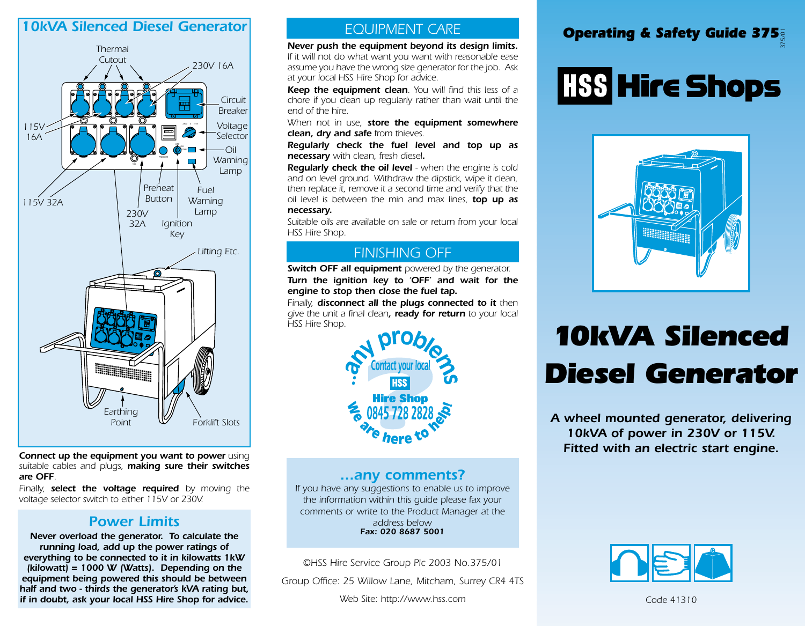#### *10kVA Silenced Diesel Generator*



*Connect up the equipment you want to power using suitable cables and plugs, making sure their switches are OFF.*

*Finally, select the voltage required by moving the voltage selector switch to either 115V or 230V.*

#### *Power Limits*

*Never overload the generator. To calculate the running load, add up the power ratings of everything to be connected to it in kilowatts 1kW (kilowatt) = 1000 W (Watts). Depending on the equipment being powered this should be between half and two - thirds the generator's kVA rating but, if in doubt, ask your local HSS Hire Shop for advice.*

#### *EQUIPMENT CARE*

*Never push the equipment beyond its design limits. If it will not do what want you want with reasonable ease assume you have the wrong size generator for the job. Ask at your local HSS Hire Shop for advice.*

*Keep the equipment clean. You will find this less of a chore if you clean up regularly rather than wait until the end of the hire.*

*When not in use, store the equipment somewhere clean, dry and safe from thieves.*

*Regularly check the fuel level and top up as necessary with clean, fresh diesel.*

*Regularly check the oil level - when the engine is cold and on level ground. Withdraw the dipstick, wipe it clean, then replace it, remove it a second time and verify that the oil level is between the min and max lines, top up as necessary.* 

*Suitable oils are available on sale or return from your local HSS Hire Shop.*

#### *FINISHING OFF*

*Switch OFF all equipment powered by the generator. Turn the ignition key to 'OFF' and wait for the engine to stop then close the fuel tap.*

*Finally, disconnect all the plugs connected to it then give the unit a final clean, ready for return to your local HSS Hire Shop.*



#### *...any comments?*

*If you have any suggestions to enable us to improve the information within this guide please fax your comments or write to the Product Manager at the address below Fax: 020 8687 5001*

*©HSS Hire Service Group Plc 2003 No.375/01*

*Group Office: 25 Willow Lane, Mitcham, Surrey CR4 4TS*

### *Operating & Safety Guide 375 375/01*

# **HSS Hire Shops**



## *10kVA Silenced Diesel Generator*

*A wheel mounted generator, delivering 10kVA of power in 230V or 115V. Fitted with an electric start engine.*